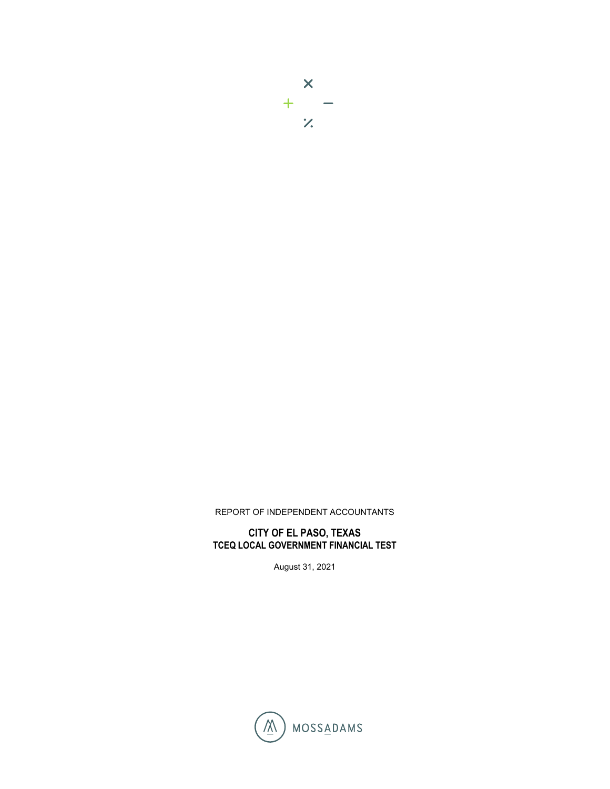

## REPORT OF INDEPENDENT ACCOUNTANTS

## **CITY OF EL PASO, TEXAS TCEQ LOCAL GOVERNMENT FINANCIAL TEST**

August 31, 2021

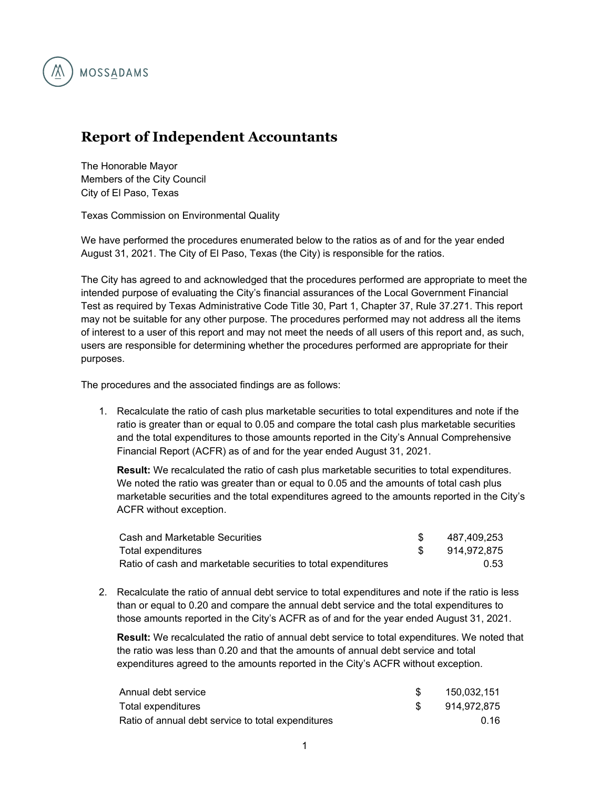

## **Report of Independent Accountants**

The Honorable Mayor Members of the City Council City of El Paso, Texas

Texas Commission on Environmental Quality

We have performed the procedures enumerated below to the ratios as of and for the year ended August 31, 2021. The City of El Paso, Texas (the City) is responsible for the ratios.

The City has agreed to and acknowledged that the procedures performed are appropriate to meet the intended purpose of evaluating the City's financial assurances of the Local Government Financial Test as required by Texas Administrative Code Title 30, Part 1, Chapter 37, Rule 37.271. This report may not be suitable for any other purpose. The procedures performed may not address all the items of interest to a user of this report and may not meet the needs of all users of this report and, as such, users are responsible for determining whether the procedures performed are appropriate for their purposes.

The procedures and the associated findings are as follows:

1. Recalculate the ratio of cash plus marketable securities to total expenditures and note if the ratio is greater than or equal to 0.05 and compare the total cash plus marketable securities and the total expenditures to those amounts reported in the City's Annual Comprehensive Financial Report (ACFR) as of and for the year ended August 31, 2021.

**Result:** We recalculated the ratio of cash plus marketable securities to total expenditures. We noted the ratio was greater than or equal to 0.05 and the amounts of total cash plus marketable securities and the total expenditures agreed to the amounts reported in the City's ACFR without exception.

| Cash and Marketable Securities                                | 487.409.253 |
|---------------------------------------------------------------|-------------|
| Total expenditures                                            | 914.972.875 |
| Ratio of cash and marketable securities to total expenditures | 0.53        |

2. Recalculate the ratio of annual debt service to total expenditures and note if the ratio is less than or equal to 0.20 and compare the annual debt service and the total expenditures to those amounts reported in the City's ACFR as of and for the year ended August 31, 2021.

**Result:** We recalculated the ratio of annual debt service to total expenditures. We noted that the ratio was less than 0.20 and that the amounts of annual debt service and total expenditures agreed to the amounts reported in the City's ACFR without exception.

| Annual debt service                                | 150.032.151 |
|----------------------------------------------------|-------------|
| Total expenditures                                 | 914.972.875 |
| Ratio of annual debt service to total expenditures | .በ 16       |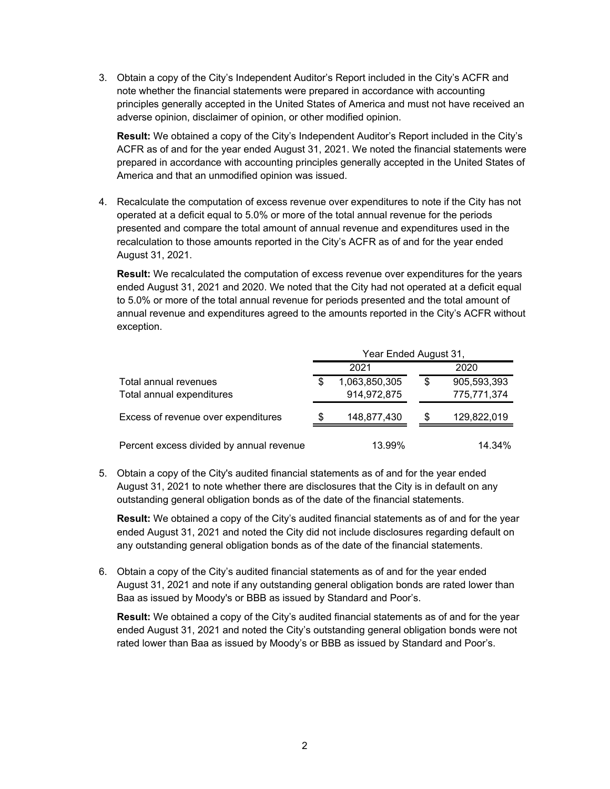3. Obtain a copy of the City's Independent Auditor's Report included in the City's ACFR and note whether the financial statements were prepared in accordance with accounting principles generally accepted in the United States of America and must not have received an adverse opinion, disclaimer of opinion, or other modified opinion.

**Result:** We obtained a copy of the City's Independent Auditor's Report included in the City's ACFR as of and for the year ended August 31, 2021. We noted the financial statements were prepared in accordance with accounting principles generally accepted in the United States of America and that an unmodified opinion was issued.

4. Recalculate the computation of excess revenue over expenditures to note if the City has not operated at a deficit equal to 5.0% or more of the total annual revenue for the periods presented and compare the total amount of annual revenue and expenditures used in the recalculation to those amounts reported in the City's ACFR as of and for the year ended August 31, 2021.

**Result:** We recalculated the computation of excess revenue over expenditures for the years ended August 31, 2021 and 2020. We noted that the City had not operated at a deficit equal to 5.0% or more of the total annual revenue for periods presented and the total amount of annual revenue and expenditures agreed to the amounts reported in the City's ACFR without exception.

|                                                    | Year Ended August 31, |                              |    |                            |
|----------------------------------------------------|-----------------------|------------------------------|----|----------------------------|
|                                                    |                       | 2021                         |    | 2020                       |
| Total annual revenues<br>Total annual expenditures | \$                    | 1,063,850,305<br>914,972,875 | \$ | 905,593,393<br>775,771,374 |
| Excess of revenue over expenditures                | S                     | 148,877,430                  | \$ | 129,822,019                |
| Percent excess divided by annual revenue           |                       | 13.99%                       |    | 14.34%                     |

5. Obtain a copy of the City's audited financial statements as of and for the year ended August 31, 2021 to note whether there are disclosures that the City is in default on any outstanding general obligation bonds as of the date of the financial statements.

**Result:** We obtained a copy of the City's audited financial statements as of and for the year ended August 31, 2021 and noted the City did not include disclosures regarding default on any outstanding general obligation bonds as of the date of the financial statements.

6. Obtain a copy of the City's audited financial statements as of and for the year ended August 31, 2021 and note if any outstanding general obligation bonds are rated lower than Baa as issued by Moody's or BBB as issued by Standard and Poor's.

**Result:** We obtained a copy of the City's audited financial statements as of and for the year ended August 31, 2021 and noted the City's outstanding general obligation bonds were not rated lower than Baa as issued by Moody's or BBB as issued by Standard and Poor's.